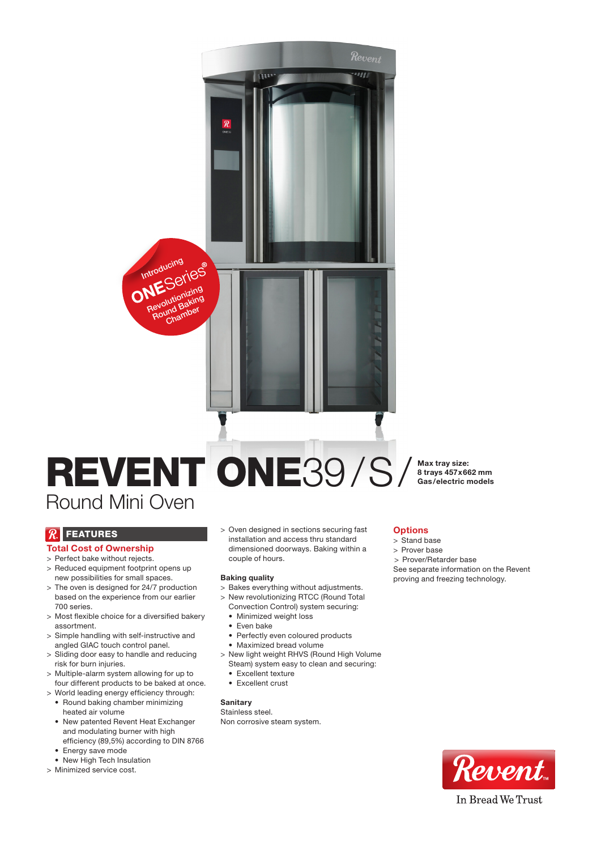# REVENT ONE39/S/ Round Mini Oven

 $\overline{\mathcal{R}}$ 

Revolutionizing Round Baking Chamber

Introducing

Max tray size: 8 trays 457x662 mm Gas/electric models

# $\mathcal{R}$  FEATURES

## Total Cost of Ownership

- > Perfect bake without rejects.
- > Reduced equipment footprint opens up new possibilities for small spaces.
- > The oven is designed for 24/7 production based on the experience from our earlier 700 series.
- > Most flexible choice for a diversified bakery assortment.
- > Simple handling with self-instructive and angled GIAC touch control panel.
- > Sliding door easy to handle and reducing risk for burn injuries.
- > Multiple-alarm system allowing for up to four different products to be baked at once.
- > World leading energy efficiency through: • Round baking chamber minimizing heated air volume
- New patented Revent Heat Exchanger and modulating burner with high efficiency (89,5%) according to DIN 8766
- Energy save mode
- New High Tech Insulation
- > Minimized service cost.

> Oven designed in sections securing fast installation and access thru standard dimensioned doorways. Baking within a couple of hours.

#### Baking quality

- > Bakes everything without adjustments.
- > New revolutionizing RTCC (Round Total
- Convection Control) system securing: • Minimized weight loss
- Even bake
- Perfectly even coloured products
- • Maximized bread volume
- > New light weight RHVS (Round High Volume Steam) system easy to clean and securing:
	- Excellent texture
	- Excellent crust

## **Sanitary**

Stainless steel. Non corrosive steam system.

## **Options**

- > Stand base
- > Prover base
- > Prover/Retarder base

See separate information on the Revent proving and freezing technology.